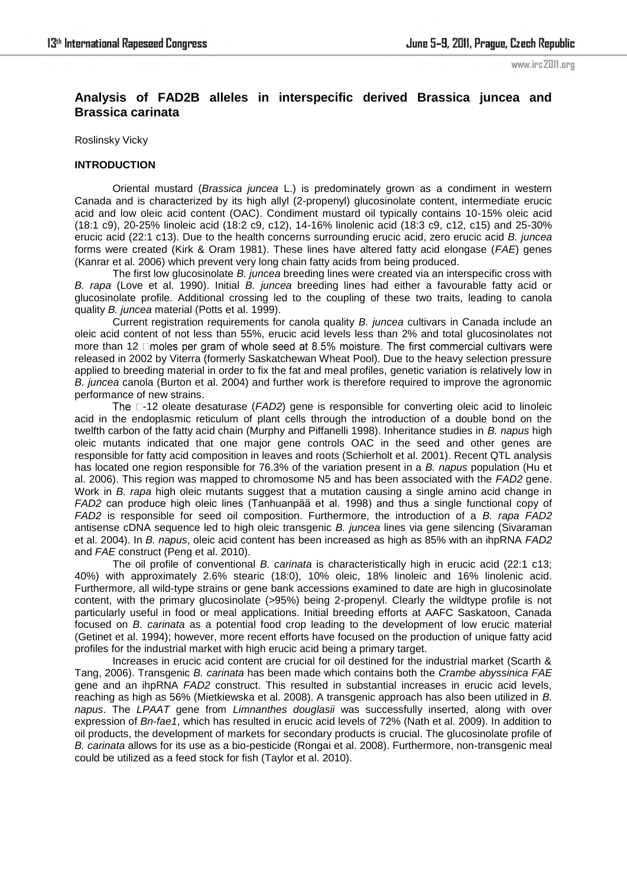# **Analysis of FAD2B alleles in interspecific derived Brassica juncea and Brassica carinata**

Roslinsky Vicky

#### **INTRODUCTION**

Oriental mustard (*Brassica juncea* L.) is predominately grown as a condiment in western Canada and is characterized by its high allyl (2-propenyl) glucosinolate content, intermediate erucic acid and low oleic acid content (OAC). Condiment mustard oil typically contains 10-15% oleic acid (18:1 c9), 20-25% linoleic acid (18:2 c9, c12), 14-16% linolenic acid (18:3 c9, c12, c15) and 25-30% erucic acid (22:1 c13). Due to the health concerns surrounding erucic acid, zero erucic acid *B. juncea* forms were created (Kirk & Oram 1981). These lines have altered fatty acid elongase (*FAE*) genes (Kanrar et al. 2006) which prevent very long chain fatty acids from being produced.

The first low glucosinolate *B. juncea* breeding lines were created via an interspecific cross with *B. rapa* (Love et al. 1990). Initial *B. juncea* breeding lines had either a favourable fatty acid or glucosinolate profile. Additional crossing led to the coupling of these two traits, leading to canola quality *B. juncea* material (Potts et al. 1999).

Current registration requirements for canola quality *B. juncea* cultivars in Canada include an oleic acid content of not less than 55%, erucic acid levels less than 2% and total glucosinolates not more than 12 **moles** per gram of whole seed at 8.5% moisture. The first commercial cultivars were released in 2002 by Viterra (formerly Saskatchewan Wheat Pool). Due to the heavy selection pressure applied to breeding material in order to fix the fat and meal profiles, genetic variation is relatively low in *B. juncea* canola (Burton et al. 2004) and further work is therefore required to improve the agronomic performance of new strains.

-12 oleate desaturase (*FAD2*) gene is responsible for converting oleic acid to linoleic acid in the endoplasmic reticulum of plant cells through the introduction of a double bond on the twelfth carbon of the fatty acid chain (Murphy and Piffanelli 1998). Inheritance studies in *B. napus* high oleic mutants indicated that one major gene controls OAC in the seed and other genes are responsible for fatty acid composition in leaves and roots (Schierholt et al. 2001). Recent QTL analysis has located one region responsible for 76.3% of the variation present in a *B. napus* population (Hu et al. 2006). This region was mapped to chromosome N5 and has been associated with the *FAD2* gene. Work in *B. rapa* high oleic mutants suggest that a mutation causing a single amino acid change in *FAD2* can produce high oleic lines (Tanhuanpää et al. 1998) and thus a single functional copy of *FAD2* is responsible for seed oil composition. Furthermore, the introduction of a *B. rapa FAD2* antisense cDNA sequence led to high oleic transgenic *B. juncea* lines via gene silencing (Sivaraman et al. 2004). In *B. napus*, oleic acid content has been increased as high as 85% with an ihpRNA *FAD2* and *FAE* construct (Peng et al. 2010).

The oil profile of conventional *B. carinata* is characteristically high in erucic acid (22:1 c13; 40%) with approximately 2.6% stearic (18:0), 10% oleic, 18% linoleic and 16% linolenic acid. Furthermore, all wild-type strains or gene bank accessions examined to date are high in glucosinolate content, with the primary glucosinolate (>95%) being 2-propenyl. Clearly the wildtype profile is not particularly useful in food or meal applications. Initial breeding efforts at AAFC Saskatoon, Canada focused on *B. carinata* as a potential food crop leading to the development of low erucic material (Getinet et al. 1994); however, more recent efforts have focused on the production of unique fatty acid profiles for the industrial market with high erucic acid being a primary target.

Increases in erucic acid content are crucial for oil destined for the industrial market (Scarth & Tang, 2006). Transgenic *B. carinata* has been made which contains both the *Crambe abyssinica FAE* gene and an ihpRNA *FAD2* construct. This resulted in substantial increases in erucic acid levels, reaching as high as 56% (Mietkiewska et al. 2008). A transgenic approach has also been utilized in *B. napus*. The *LPAAT* gene from *Limnanthes douglasii* was successfully inserted, along with over expression of *Bn*-*fae1*, which has resulted in erucic acid levels of 72% (Nath et al. 2009). In addition to oil products, the development of markets for secondary products is crucial. The glucosinolate profile of *B. carinata* allows for its use as a bio-pesticide (Rongai et al. 2008). Furthermore, non-transgenic meal could be utilized as a feed stock for fish (Taylor et al. 2010).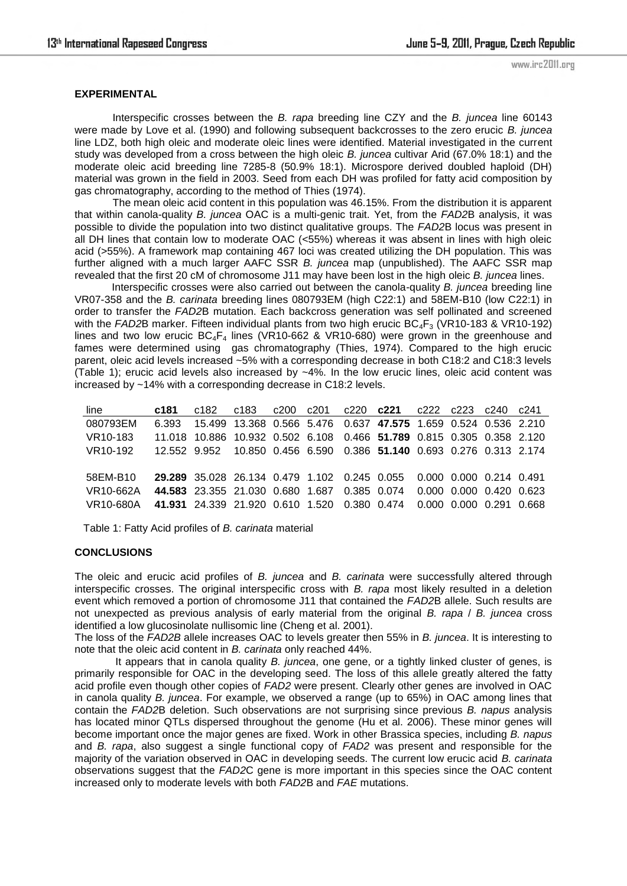### **EXPERIMENTAL**

Interspecific crosses between the *B. rapa* breeding line CZY and the *B. juncea* line 60143 were made by Love et al. (1990) and following subsequent backcrosses to the zero erucic *B. juncea* line LDZ, both high oleic and moderate oleic lines were identified. Material investigated in the current study was developed from a cross between the high oleic *B. juncea* cultivar Arid (67.0% 18:1) and the moderate oleic acid breeding line 7285-8 (50.9% 18:1). Microspore derived doubled haploid (DH) material was grown in the field in 2003. Seed from each DH was profiled for fatty acid composition by gas chromatography, according to the method of Thies (1974).

The mean oleic acid content in this population was 46.15%. From the distribution it is apparent that within canola-quality *B. juncea* OAC is a multi-genic trait. Yet, from the *FAD2*B analysis, it was possible to divide the population into two distinct qualitative groups. The *FAD2*B locus was present in all DH lines that contain low to moderate OAC (<55%) whereas it was absent in lines with high oleic acid (>55%). A framework map containing 467 loci was created utilizing the DH population. This was further aligned with a much larger AAFC SSR *B. juncea* map (unpublished). The AAFC SSR map revealed that the first 20 cM of chromosome J11 may have been lost in the high oleic *B. juncea* lines.

Interspecific crosses were also carried out between the canola-quality *B. juncea* breeding line VR07-358 and the *B. carinata* breeding lines 080793EM (high C22:1) and 58EM-B10 (low C22:1) in order to transfer the *FAD2*B mutation. Each backcross generation was self pollinated and screened with the *FAD2*B marker. Fifteen individual plants from two high erucic BC<sub>4</sub>F<sub>3</sub> (VR10-183 & VR10-192) lines and two low erucic  $BC_4F_4$  lines (VR10-662 & VR10-680) were grown in the greenhouse and fames were determined using gas chromatography (Thies, 1974). Compared to the high erucic parent, oleic acid levels increased ~5% with a corresponding decrease in both C18:2 and C18:3 levels (Table 1); erucic acid levels also increased by ~4%. In the low erucic lines, oleic acid content was increased by ~14% with a corresponding decrease in C18:2 levels.

| line                  | c181  |                                                                       |  |  | c182 c183 c200 c201 c220 c221 c222 c223 c240 c241 |                         |  |
|-----------------------|-------|-----------------------------------------------------------------------|--|--|---------------------------------------------------|-------------------------|--|
| 080793EM              | 6.393 | 15.499 13.368 0.566 5.476 0.637 47.575 1.659 0.524 0.536 2.210        |  |  |                                                   |                         |  |
| VR10-183              |       | 11.018 10.886 10.932 0.502 6.108 0.466 51.789 0.815 0.305 0.358 2.120 |  |  |                                                   |                         |  |
| VR <sub>10</sub> -192 |       | 12.552 9.952 10.850 0.456 6.590 0.386 51.140 0.693 0.276 0.313 2.174  |  |  |                                                   |                         |  |
|                       |       |                                                                       |  |  |                                                   |                         |  |
| 58EM-B10              |       | 29.289 35.028 26.134 0.479 1.102 0.245 0.055 0.000 0.000 0.214 0.491  |  |  |                                                   |                         |  |
| VR10-662A             |       | 44.583 23.355 21.030 0.680 1.687 0.385 0.074                          |  |  |                                                   | 0.000 0.000 0.420 0.623 |  |
| VR10-680A             |       | 41.931 24.339 21.920 0.610 1.520 0.380 0.474 0.000 0.000 0.291 0.668  |  |  |                                                   |                         |  |
|                       |       |                                                                       |  |  |                                                   |                         |  |

Table 1: Fatty Acid profiles of *B. carinata* material

#### **CONCLUSIONS**

The oleic and erucic acid profiles of *B. juncea* and *B. carinata* were successfully altered through interspecific crosses. The original interspecific cross with *B. rapa* most likely resulted in a deletion event which removed a portion of chromosome J11 that contained the *FAD2*B allele. Such results are not unexpected as previous analysis of early material from the original *B. rapa* / *B. juncea* cross identified a low glucosinolate nullisomic line (Cheng et al. 2001).

The loss of the *FAD2B* allele increases OAC to levels greater then 55% in *B. juncea*. It is interesting to note that the oleic acid content in *B. carinata* only reached 44%.

 It appears that in canola quality *B. juncea*, one gene, or a tightly linked cluster of genes, is primarily responsible for OAC in the developing seed. The loss of this allele greatly altered the fatty acid profile even though other copies of *FAD2* were present. Clearly other genes are involved in OAC in canola quality *B. juncea*. For example, we observed a range (up to 65%) in OAC among lines that contain the *FAD2*B deletion. Such observations are not surprising since previous *B. napus* analysis has located minor QTLs dispersed throughout the genome (Hu et al. 2006). These minor genes will become important once the major genes are fixed. Work in other Brassica species, including *B. napus* and *B. rapa*, also suggest a single functional copy of *FAD2* was present and responsible for the majority of the variation observed in OAC in developing seeds. The current low erucic acid *B. carinata*  observations suggest that the *FAD2*C gene is more important in this species since the OAC content increased only to moderate levels with both *FAD2*B and *FAE* mutations.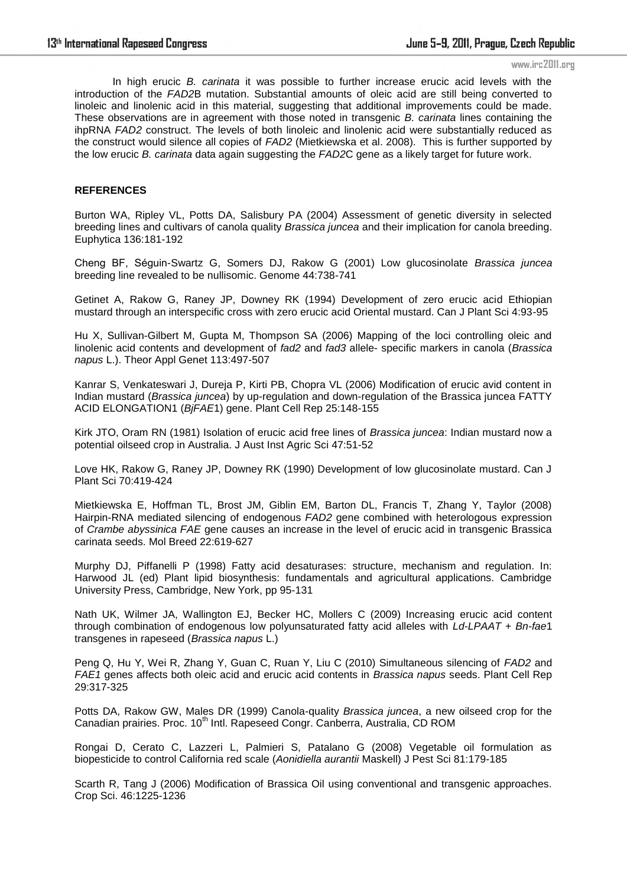In high erucic *B. carinata* it was possible to further increase erucic acid levels with the introduction of the *FAD2*B mutation. Substantial amounts of oleic acid are still being converted to linoleic and linolenic acid in this material, suggesting that additional improvements could be made. These observations are in agreement with those noted in transgenic *B. carinata* lines containing the ihpRNA *FAD2* construct. The levels of both linoleic and linolenic acid were substantially reduced as the construct would silence all copies of *FAD2* (Mietkiewska et al. 2008). This is further supported by the low erucic *B. carinata* data again suggesting the *FAD2*C gene as a likely target for future work.

## **REFERENCES**

Burton WA, Ripley VL, Potts DA, Salisbury PA (2004) Assessment of genetic diversity in selected breeding lines and cultivars of canola quality *Brassica juncea* and their implication for canola breeding. Euphytica 136:181-192

Cheng BF, Séguin-Swartz G, Somers DJ, Rakow G (2001) Low glucosinolate *Brassica juncea* breeding line revealed to be nullisomic. Genome 44:738-741

Getinet A, Rakow G, Raney JP, Downey RK (1994) Development of zero erucic acid Ethiopian mustard through an interspecific cross with zero erucic acid Oriental mustard. Can J Plant Sci 4:93-95

Hu X, Sullivan-Gilbert M, Gupta M, Thompson SA (2006) Mapping of the loci controlling oleic and linolenic acid contents and development of *fad2* and *fad3* allele- specific markers in canola (*Brassica napus* L.). Theor Appl Genet 113:497-507

Kanrar S, Venkateswari J, Dureja P, Kirti PB, Chopra VL (2006) Modification of erucic avid content in Indian mustard (*Brassica juncea*) by up-regulation and down-regulation of the Brassica juncea FATTY ACID ELONGATION1 (*BjFAE*1) gene. Plant Cell Rep 25:148-155

Kirk JTO, Oram RN (1981) Isolation of erucic acid free lines of *Brassica juncea*: Indian mustard now a potential oilseed crop in Australia. J Aust Inst Agric Sci 47:51-52

Love HK, Rakow G, Raney JP, Downey RK (1990) Development of low glucosinolate mustard. Can J Plant Sci 70:419-424

Mietkiewska E, Hoffman TL, Brost JM, Giblin EM, Barton DL, Francis T, Zhang Y, Taylor (2008) Hairpin-RNA mediated silencing of endogenous *FAD2* gene combined with heterologous expression of *Crambe abyssinica FAE* gene causes an increase in the level of erucic acid in transgenic Brassica carinata seeds. Mol Breed 22:619-627

Murphy DJ, Piffanelli P (1998) Fatty acid desaturases: structure, mechanism and regulation. In: Harwood JL (ed) Plant lipid biosynthesis: fundamentals and agricultural applications. Cambridge University Press, Cambridge, New York, pp 95-131

Nath UK, Wilmer JA, Wallington EJ, Becker HC, Mollers C (2009) Increasing erucic acid content through combination of endogenous low polyunsaturated fatty acid alleles with *Ld-LPAAT* + *Bn-fae*1 transgenes in rapeseed (*Brassica napus* L.)

Peng Q, Hu Y, Wei R, Zhang Y, Guan C, Ruan Y, Liu C (2010) Simultaneous silencing of *FAD2* and *FAE1* genes affects both oleic acid and erucic acid contents in *Brassica napus* seeds. Plant Cell Rep 29:317-325

Potts DA, Rakow GW, Males DR (1999) Canola-quality *Brassica juncea*, a new oilseed crop for the Canadian prairies. Proc. 10<sup>th</sup> Intl. Rapeseed Congr. Canberra, Australia, CD ROM

Rongai D, Cerato C, Lazzeri L, Palmieri S, Patalano G (2008) Vegetable oil formulation as biopesticide to control California red scale (*Aonidiella aurantii* Maskell) J Pest Sci 81:179-185

Scarth R, Tang J (2006) Modification of Brassica Oil using conventional and transgenic approaches. Crop Sci. 46:1225-1236